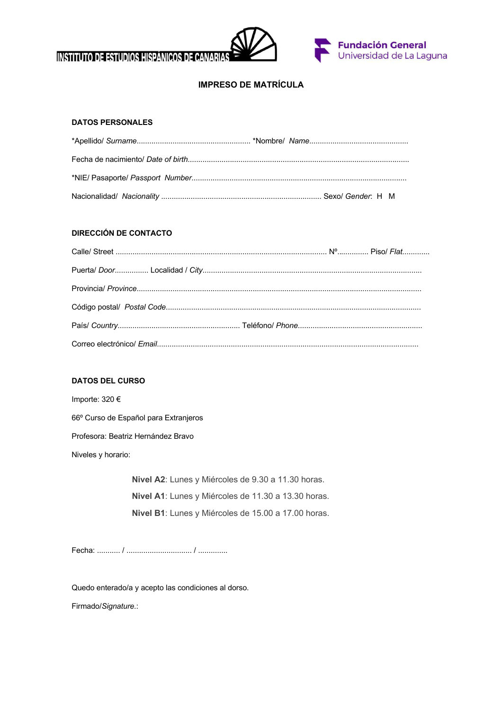



# **IMPRESO DE MATRÍCULA**

## **DATOS PERSONALES**

# **DIRECCIÓN DE CONTACTO**

#### **DATOS DEL CURSO**

Importe: 320 €

66º Curso de Español para Extranjeros

Profesora: Beatriz Hernández Bravo

Niveles y horario:

 **Nivel A2**: Lunes y Miércoles de 9.30 a 11.30 horas. **Nivel A1**: Lunes y Miércoles de 11.30 a 13.30 horas. **Nivel B1**: Lunes y Miércoles de 15.00 a 17.00 horas.

Fecha: ........... / ............................... / ..............

Quedo enterado/a y acepto las condiciones al dorso.

Firmado/*Signature*.: